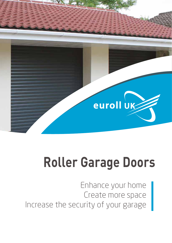

# **Roller Garage Doors**

Enhance your home Create more space Increase the security of your garage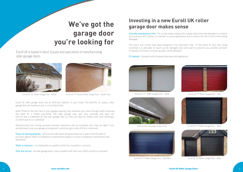



Internal view showing canopy (box) Euroll UK '77' Roller Garage Door - Black



Euroll UK is based in West Sussex and specialises in manufacturing roller garage doors.





Euroll UK '55' Roller Garage Door - White Euroll UK '77' Double Roller Garage Door - Golden Oak'

Euroll UK roller garage doors are an effective addition to your home. The benefits of using a roller garage door are numerous over a conventional door.

When fitted on the rear face of your garage opening, they maximize your drive through width removing the need for a timber sub-frame. The roller garage door also rises vertically and does not kick-out like a traditional up and over garage door, so they are ideal for homes with short driveways or where space is at a premium.

Peace of mind guarantee - all Euroll UK roller doors are guaranteed for 5 years from the date of purchase against defect of material or workmanship (subject to correct installation, maintenance and operation).

Made to measure - no compromise on weather protection, insulation or security.

Safe and secure - all roller garage doors come complete with their own safety system as standard.

Manufactured from strong corrosion-resistant aluminium with an insulated core, they are ideal if you are planning to use your garage as a playroom, workshop, gym, home office or storeroom.

Virtually maintenance free - the curtain needs wiping with a damp cloth and a mild detergent to remove any excessive dirt or grime, to maintain its prime appearance and to reduce the risk of the surface being damaged.

# **We've got the garage door you're looking for**

The motor and curtain have been designed to be lubrication free. In the event of your door being scratched it is advisable to touch up the damaged area with paint to prevent any possible corrosion. If required, 25 ml pots of touch-up paint can be obtained.

CE marked - Compliant with European directives and regulations.



Euroll UK '77' Roller Garage Door – White Euroll UK '77' Roller Garage Door – Red





Euroll UK '77' Roller Garage Door – Dark Blue Fundell UK '55' Roller Garage Door – Black

# **Investing in a new Euroll UK roller garage door makes sense**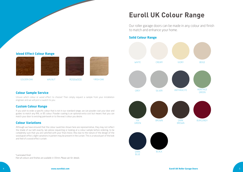

# **Euroll UK Colour Range**

Our roller garage doors can be made in any colour and finish to match and enhance your home.

# **Solid Colour Range**

## **Colour Sample Service**

Unsure which colour or wood effect to choose? Then simply request a sample from your installation engineer and we will post a swatch to you.

# **Custom Colour Range**

If you wish to order a specific colour that is not in our standard range, we can powder coat your door and guides to match any RAL or BS colour. Powder coating is an optional extra cost but means that you can match your door to existing paintwork or to the exact colour you desire.

## **Colour Variations**



Although we have ensured that the colour swatches shown here are representative, they may not reflect the shade of our lath exactly. We advise requesting or looking at a colour sample before ordering, to be completely sure that you are satisfied with your final choice. Also due to the nature of the design of the wood grain effect, slight variations in pattern may be present in the curtain. This is a natural part of the look and feel of a wood effect curtain.

# **Wood Effect Colour Range**









+Laminated finish Not all colours and finishes are available in 55mm. Please ask for details.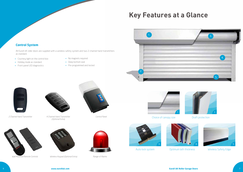



Choice of canopy size

### Draft protection



# **Key Features at a Glance**



Optimum lath thickness



3.

Auto lock system



Wireless Safety Edge



- Courtesy light on the control box
- Holiday mode as standard
- **Front panel LED diagnostics**

All Euroll UK roller doors are supplied with a wireless safety system and two 2-channel hand transmitters as standard.

- No magnets required
- Deep bottom seal
- Pre-programmed and tested



2 Channel Hand Transmitter 4 Channel Hand Transmitter







(Optional Extra)



Control Panel



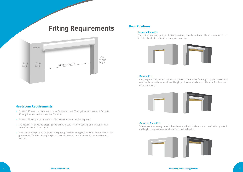





- Euroll UK '77' doors require a headroom of 300mm and use 70mm guides for doors up to 3m wide. 95mm guides are used on doors over 3m wide.
- Euroll UK '55' compact doors require 205mm headroom and use 66mm guides.
- The bottom lath of your roller garage door will hang down in to the opening of the garage, so will reduce the drive through height.
- If the door is being installed between the opening, the drive through width will be reduced by the total guide widths. The drive through height will be reduced by the headroom requirement and bottom lath size.

# **Fitting Requirements**



# **Headroom Requirements**

#### Internal Face Fix

This is the most popular type of fitting position. It needs sufficient side and headroom and is installed directly to the inside of the garage opening.



### **Door Positions**

#### Reveal Fix

For garages where there is limited side or headroom, a reveal fit is a good option. However it reduces the drive through width and height, which needs to be a consideration for the overall use of the garage.



### External Face Fix

When there is not enough room to install on the inside, but where maximum drive through width and height is required, an eternal face fix is the ideal option.

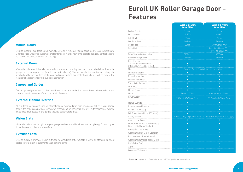### 10 **www.eurolluk.com Euroll UK Roller Garage Doors** 11

|                                                                                | <b>Foam Filled</b>                                                     | <b>Foam Filled</b>                          |
|--------------------------------------------------------------------------------|------------------------------------------------------------------------|---------------------------------------------|
| Curtain Description                                                            | Compact                                                                | Classic                                     |
| Product Code                                                                   | <b>EUR55</b>                                                           | EUR77                                       |
| Lath Height                                                                    | 55mm                                                                   | 77mm                                        |
| <b>End Plate Sizes</b>                                                         | 205mm                                                                  | 300mm                                       |
| Guide Sizes                                                                    | <b>66mm</b>                                                            | 70mm or 95mm*                               |
| Guide Limits                                                                   |                                                                        | Up to 3m wide use 70mm.<br>Over 3m use 95mm |
| Roller Shutter Curtain Height                                                  | 2400mm                                                                 | 3000mm                                      |
| Headroom Requirement                                                           | 205mm                                                                  | 300mm                                       |
| Guide Colours<br>Standard (White or Brown)<br>Other colours (see colour chart) | $\bullet$<br>$\circ$                                                   | $\bullet$<br>$\circ$                        |
| Finish                                                                         | Solid and Wood Effect please see colour chart                          |                                             |
| Internal Installation                                                          | $\bullet$                                                              |                                             |
| Reveal Installation                                                            | $\bullet$                                                              | г                                           |
| External Installation                                                          | $\bullet$                                                              | $\bullet$                                   |
| 5 year limited warranty                                                        | $\bullet$                                                              | $\bullet$                                   |
| CE Marked                                                                      |                                                                        |                                             |
| <b>Electric Operation</b>                                                      | $\bullet$                                                              | $\bullet$                                   |
| Motor                                                                          | 30Nm or 60Nm                                                           | 60Nm, 80Nm or 120Nm                         |
| Power Supply                                                                   | 13 Amp 240v Single Phase                                               | 13 Amp 240v Single Phase                    |
| Manual Override                                                                | $\bullet$                                                              | $\bullet$                                   |
| External Manual Override                                                       | $\bigcirc$                                                             | $\circ$                                     |
| Half Box (90° fascia)                                                          | $\bullet$                                                              | $\bullet$                                   |
| Full Box (with additional 45° fascia)                                          | $\bullet$                                                              |                                             |
| Safety System                                                                  | Wireless Safety Edge and/or Inertia Safety Brake (dependant on weight) |                                             |
| Auto Locking System                                                            |                                                                        | C                                           |
| Internal Control Board with Courtesy<br>Light and Up/Down/Stop buttons         | $\bullet$                                                              | C                                           |
| Holiday Security Setting                                                       |                                                                        |                                             |
| Wall Mounted Key Switch Operation                                              | $\bigcirc$                                                             | $\circ$                                     |
| Remote Control Transmitters x2                                                 | $\bullet$                                                              | $\bullet$                                   |
| Wall Mounted Wireless Rocker Switch                                            | O                                                                      |                                             |
| GSM (Call or Text)                                                             | $\circ$                                                                | $\circ$                                     |
| Alarm                                                                          | $\bigcirc$                                                             | $\circ$                                     |
| Windows / Vision slats                                                         | $\circ$                                                                | $\circ$                                     |
|                                                                                |                                                                        |                                             |

# **Manual Doors**

| <b>Euroll UK 55mm</b><br><b>Foam Filled</b>                   | <b>Euroll UK 77mm</b><br><b>Foam Filled</b> |  |
|---------------------------------------------------------------|---------------------------------------------|--|
| Compact                                                       | Classic                                     |  |
| <b>EUR55</b>                                                  | EUR77                                       |  |
| 55mm                                                          | 77mm                                        |  |
| $205$ mm                                                      | 300mm                                       |  |
| <b>66mm</b>                                                   | 70mm or 95mm*                               |  |
|                                                               | Up to 3m wide use 70mm.<br>Over 3m use 95mm |  |
| 2400mm                                                        | 3000mm                                      |  |
| 205mm                                                         | 300mm                                       |  |
| $\bullet$<br>$\overline{O}$                                   | $\bullet$<br>$\circ$                        |  |
| Solid and Wood Effect please see colour chart                 |                                             |  |
| $\bullet$                                                     | $\bullet$                                   |  |
| $\bullet$                                                     | $\bullet$                                   |  |
| $\bullet$                                                     | $\bullet$                                   |  |
| $\bullet$                                                     | $\bullet$                                   |  |
| $\bullet$                                                     | $\bullet$                                   |  |
| $\bullet$                                                     | $\bullet$                                   |  |
| 30Nm or 60Nm                                                  | 60Nm, 80Nm or 120Nm                         |  |
| Amp 240v Single Phase                                         | 13 Amp 240v Single Phase                    |  |
| $\bullet$                                                     | о                                           |  |
| $\circ$                                                       | $\circ$                                     |  |
| $\bullet$                                                     | $\bullet$                                   |  |
| $\bullet$                                                     | $\bullet$                                   |  |
| Safety Edge and/or Inertia Safety Brake (dependant on weight) |                                             |  |
|                                                               |                                             |  |
| $\bullet$                                                     | $\bullet$                                   |  |
| $\bullet$                                                     | $\bullet$                                   |  |
| $\circ$                                                       | О                                           |  |
| $\bullet$                                                     | $\bullet$                                   |  |
| $\circ$                                                       | $\circ$                                     |  |
| $\circ$                                                       | $\circ$                                     |  |
| $\circ$                                                       | $\circ$                                     |  |
| $\circ$                                                       | $\circ$                                     |  |

We also supply all our doors with a manual operation if required. Manual doors are available in sizes up to 3 metres wide. We advise customers that larger doors may be heavier to operate manually, so this needs to be taken in to consideration when ordering.

# **External Doors**

Where the roller door is installed externally, the remote control system must be installed either inside the garage or in a waterproof box (which is an optional extra). The bottom slat transmitter must always be installed on the internal face of the door and is not suitable for applications where it will be exposed to weather or excessive moisture due to condensation.

## **Canopy and Guides**

Our canopy and guides are supplied in white or brown as standard, however they can be supplied in any colour to match the colour of the door curtain if required.

## **External Manual Override**

All our doors are supplied with an internal manual override kit in case of a power failure. If your garage door is the only means of access then we recommend an additional low level external manual override kit, to enable full access to the garage should a power failure arise.

## **Vision Slats**

Vision slats allow natural light into your garage and are available with or without glazing. On wood grain doors they are supplied in a brown finish.

### **Extruded Lath**

We also supply a 44mm or 55mm extruded non-insulated lath. Available in white as standard or colour coated to your exact requirements as an optional extra.

Standard ● Option o Not Available N/A \*100mm guides are also available

# **Euroll UK Roller Garage Door - Features**